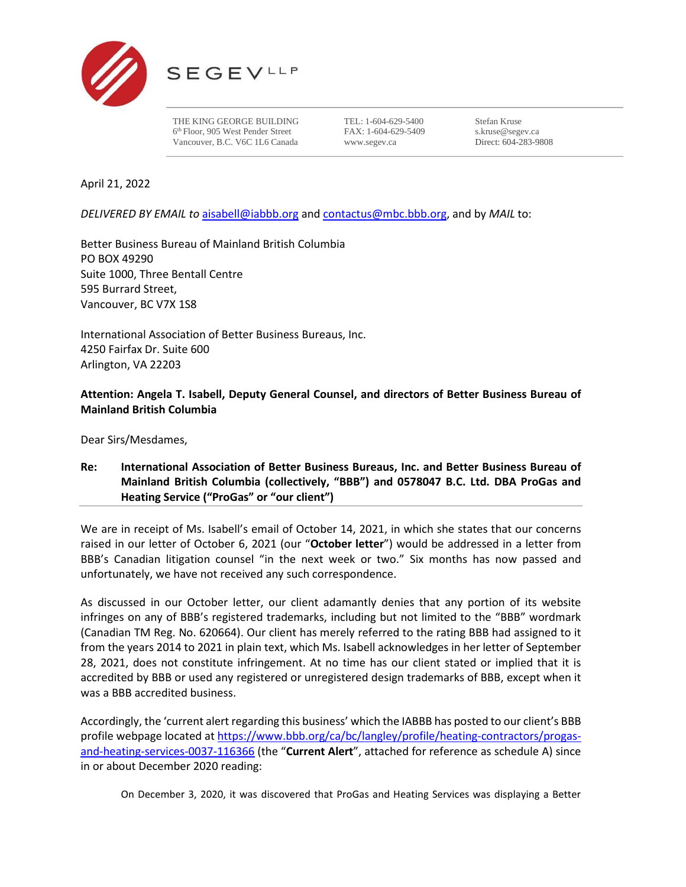

THE KING GEORGE BUILDING 6th Floor, 905 West Pender Street Vancouver, B.C. V6C 1L6 Canada

TEL: 1-604-629-5400 FAX: 1-604-629-5409 www.segev.ca

Stefan Kruse s.kruse@segev.ca Direct: 604-283-9808

April 21, 2022

*DELIVERED BY EMAIL to* [aisabell@iabbb.org](mailto:aisabell@iabbb.org) and [contactus@mbc.bbb.org,](mailto:contactus@mbc.bbb.org) and by *MAIL* to:

Better Business Bureau of Mainland British Columbia PO BOX 49290 Suite 1000, Three Bentall Centre 595 Burrard Street, Vancouver, BC V7X 1S8

International Association of Better Business Bureaus, Inc. 4250 Fairfax Dr. Suite 600 Arlington, VA 22203

# **Attention: Angela T. Isabell, Deputy General Counsel, and directors of Better Business Bureau of Mainland British Columbia**

Dear Sirs/Mesdames,

# **Re: International Association of Better Business Bureaus, Inc. and Better Business Bureau of Mainland British Columbia (collectively, "BBB") and 0578047 B.C. Ltd. DBA ProGas and Heating Service ("ProGas" or "our client")**

We are in receipt of Ms. Isabell's email of October 14, 2021, in which she states that our concerns raised in our letter of October 6, 2021 (our "**October letter**") would be addressed in a letter from BBB's Canadian litigation counsel "in the next week or two." Six months has now passed and unfortunately, we have not received any such correspondence.

As discussed in our October letter, our client adamantly denies that any portion of its website infringes on any of BBB's registered trademarks, including but not limited to the "BBB" wordmark (Canadian TM Reg. No. 620664). Our client has merely referred to the rating BBB had assigned to it from the years 2014 to 2021 in plain text, which Ms. Isabell acknowledges in her letter of September 28, 2021, does not constitute infringement. At no time has our client stated or implied that it is accredited by BBB or used any registered or unregistered design trademarks of BBB, except when it was a BBB accredited business.

Accordingly, the 'current alert regarding this business' which the IABBB has posted to our client's BBB profile webpage located at [https://www.bbb.org/ca/bc/langley/profile/heating-contractors/progas](https://www.bbb.org/ca/bc/langley/profile/heating-contractors/progas-and-heating-services-0037-116366)[and-heating-services-0037-116366](https://www.bbb.org/ca/bc/langley/profile/heating-contractors/progas-and-heating-services-0037-116366) (the "**Current Alert**", attached for reference as schedule A) since in or about December 2020 reading:

On December 3, 2020, it was discovered that ProGas and Heating Services was displaying a Better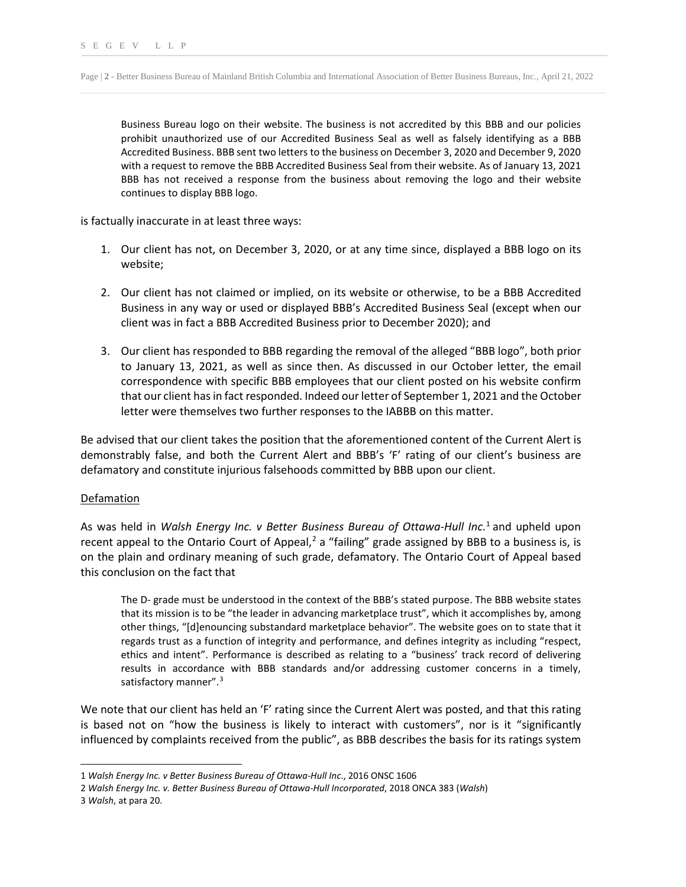Business Bureau logo on their website. The business is not accredited by this BBB and our policies prohibit unauthorized use of our Accredited Business Seal as well as falsely identifying as a BBB Accredited Business. BBB sent two letters to the business on December 3, 2020 and December 9, 2020 with a request to remove the BBB Accredited Business Seal from their website. As of January 13, 2021 BBB has not received a response from the business about removing the logo and their website continues to display BBB logo.

is factually inaccurate in at least three ways:

- 1. Our client has not, on December 3, 2020, or at any time since, displayed a BBB logo on its website;
- 2. Our client has not claimed or implied, on its website or otherwise, to be a BBB Accredited Business in any way or used or displayed BBB's Accredited Business Seal (except when our client was in fact a BBB Accredited Business prior to December 2020); and
- 3. Our client has responded to BBB regarding the removal of the alleged "BBB logo", both prior to January 13, 2021, as well as since then. As discussed in our October letter, the email correspondence with specific BBB employees that our client posted on his website confirm that our client has in fact responded. Indeed our letter of September 1, 2021 and the October letter were themselves two further responses to the IABBB on this matter.

Be advised that our client takes the position that the aforementioned content of the Current Alert is demonstrably false, and both the Current Alert and BBB's 'F' rating of our client's business are defamatory and constitute injurious falsehoods committed by BBB upon our client.

### Defamation

As was held in *Walsh Energy Inc. v Better Business Bureau of Ottawa-Hull Inc*. [1](#page-1-0) and upheld upon recent appeal to the Ontario Court of Appeal,<sup>[2](#page-1-1)</sup> a "failing" grade assigned by BBB to a business is, is on the plain and ordinary meaning of such grade, defamatory. The Ontario Court of Appeal based this conclusion on the fact that

The D- grade must be understood in the context of the BBB's stated purpose. The BBB website states that its mission is to be "the leader in advancing marketplace trust", which it accomplishes by, among other things, "[d]enouncing substandard marketplace behavior". The website goes on to state that it regards trust as a function of integrity and performance, and defines integrity as including "respect, ethics and intent". Performance is described as relating to a "business' track record of delivering results in accordance with BBB standards and/or addressing customer concerns in a timely, satisfactory manner".<sup>[3](#page-1-2)</sup>

We note that our client has held an 'F' rating since the Current Alert was posted, and that this rating is based not on "how the business is likely to interact with customers", nor is it "significantly influenced by complaints received from the public", as BBB describes the basis for its ratings system

<span id="page-1-0"></span><sup>1</sup> *Walsh Energy Inc. v Better Business Bureau of Ottawa-Hull Inc*., 2016 ONSC 1606

<span id="page-1-1"></span><sup>2</sup> *Walsh Energy Inc. v. Better Business Bureau of Ottawa-Hull Incorporated*, 2018 ONCA 383 (*Walsh*)

<span id="page-1-2"></span><sup>3</sup> *Walsh*, at para 20.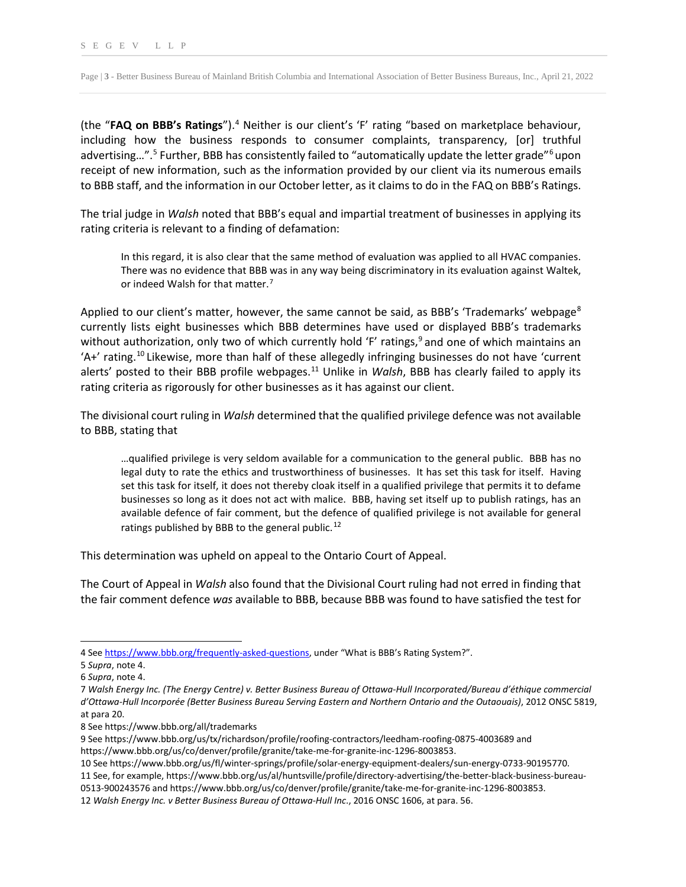Page | **3** - Better Business Bureau of Mainland British Columbia and International Association of Better Business Bureaus, Inc., April 21, 2022

(the "**FAQ on BBB's Ratings**").[4](#page-2-0) Neither is our client's 'F' rating "based on marketplace behaviour, including how the business responds to consumer complaints, transparency, [or] truthful advertising...".<sup>[5](#page-2-1)</sup> Further, BBB has consistently failed to "automatically update the letter grade"<sup>[6](#page-2-2)</sup>upon receipt of new information, such as the information provided by our client via its numerous emails to BBB staff, and the information in our October letter, as it claims to do in the FAQ on BBB's Ratings.

The trial judge in *Walsh* noted that BBB's equal and impartial treatment of businesses in applying its rating criteria is relevant to a finding of defamation:

In this regard, it is also clear that the same method of evaluation was applied to all HVAC companies. There was no evidence that BBB was in any way being discriminatory in its evaluation against Waltek, or indeed Walsh for that matter.<sup>[7](#page-2-3)</sup>

Applied to our client's matter, however, the same cannot be said, as BBB's 'Trademarks' webpage<sup>[8](#page-2-4)</sup> currently lists eight businesses which BBB determines have used or displayed BBB's trademarks without authorization, only two of which currently hold 'F' ratings,  $9$  and one of which maintains an 'A+' rating.[10](#page-2-6) Likewise, more than half of these allegedly infringing businesses do not have 'current alerts' posted to their BBB profile webpages.<sup>[11](#page-2-7)</sup> Unlike in *Walsh*, BBB has clearly failed to apply its rating criteria as rigorously for other businesses as it has against our client.

The divisional court ruling in *Walsh* determined that the qualified privilege defence was not available to BBB, stating that

…qualified privilege is very seldom available for a communication to the general public. BBB has no legal duty to rate the ethics and trustworthiness of businesses. It has set this task for itself. Having set this task for itself, it does not thereby cloak itself in a qualified privilege that permits it to defame businesses so long as it does not act with malice. BBB, having set itself up to publish ratings, has an available defence of fair comment, but the defence of qualified privilege is not available for general ratings published by BBB to the general public.<sup>[12](#page-2-8)</sup>

This determination was upheld on appeal to the Ontario Court of Appeal.

The Court of Appeal in *Walsh* also found that the Divisional Court ruling had not erred in finding that the fair comment defence *was* available to BBB, because BBB was found to have satisfied the test for

<span id="page-2-0"></span><sup>4</sup> Se[e https://www.bbb.org/frequently-asked-questions,](https://www.bbb.org/frequently-asked-questions) under "What is BBB's Rating System?".

<span id="page-2-1"></span><sup>5</sup> *Supra*, note 4.

<span id="page-2-2"></span><sup>6</sup> *Supra*, note 4.

<span id="page-2-3"></span><sup>7</sup> *Walsh Energy Inc. (The Energy Centre) v. Better Business Bureau of Ottawa-Hull Incorporated/Bureau d'éthique commercial d'Ottawa-Hull Incorporée (Better Business Bureau Serving Eastern and Northern Ontario and the Outaouais)*, 2012 ONSC 5819, at para 20.

<span id="page-2-4"></span><sup>8</sup> See https://www.bbb.org/all/trademarks

<span id="page-2-5"></span><sup>9</sup> See https://www.bbb.org/us/tx/richardson/profile/roofing-contractors/leedham-roofing-0875-4003689 and https://www.bbb.org/us/co/denver/profile/granite/take-me-for-granite-inc-1296-8003853.

<span id="page-2-6"></span><sup>10</sup> See https://www.bbb.org/us/fl/winter-springs/profile/solar-energy-equipment-dealers/sun-energy-0733-90195770.

<span id="page-2-7"></span><sup>11</sup> See, for example, https://www.bbb.org/us/al/huntsville/profile/directory-advertising/the-better-black-business-bureau-

<sup>0513-900243576</sup> and https://www.bbb.org/us/co/denver/profile/granite/take-me-for-granite-inc-1296-8003853.

<span id="page-2-8"></span><sup>12</sup> *Walsh Energy Inc. v Better Business Bureau of Ottawa-Hull Inc*., 2016 ONSC 1606, at para. 56.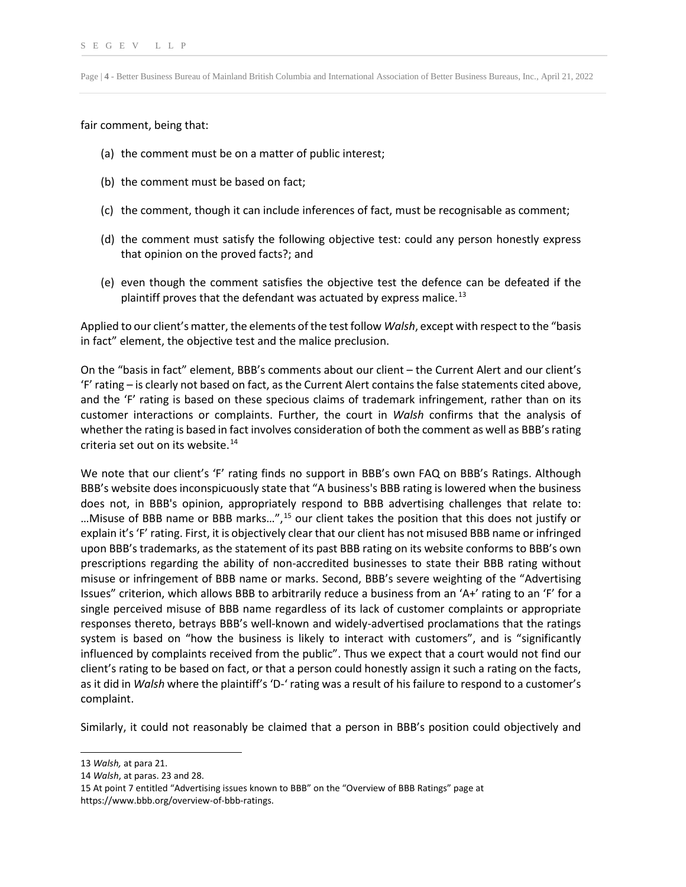Page | **4** - Better Business Bureau of Mainland British Columbia and International Association of Better Business Bureaus, Inc., April 21, 2022

fair comment, being that:

- (a) the comment must be on a matter of public interest;
- (b) the comment must be based on fact;
- (c) the comment, though it can include inferences of fact, must be recognisable as comment;
- (d) the comment must satisfy the following objective test: could any person honestly express that opinion on the proved facts?; and
- (e) even though the comment satisfies the objective test the defence can be defeated if the plaintiff proves that the defendant was actuated by express malice.<sup>[13](#page-3-0)</sup>

Applied to our client's matter, the elements of the test follow *Walsh*, except with respect to the "basis in fact" element, the objective test and the malice preclusion.

On the "basis in fact" element, BBB's comments about our client – the Current Alert and our client's 'F' rating – is clearly not based on fact, asthe Current Alert contains the false statements cited above, and the 'F' rating is based on these specious claims of trademark infringement, rather than on its customer interactions or complaints. Further, the court in *Walsh* confirms that the analysis of whether the rating is based in fact involves consideration of both the comment as well as BBB's rating criteria set out on its website. $14$ 

We note that our client's 'F' rating finds no support in BBB's own FAQ on BBB's Ratings. Although BBB's website does inconspicuously state that "A business's BBB rating is lowered when the business does not, in BBB's opinion, appropriately respond to BBB advertising challenges that relate to: …Misuse of BBB name or BBB marks...",<sup>[15](#page-3-2)</sup> our client takes the position that this does not justify or explain it's 'F' rating. First, it is objectively clear that our client has not misused BBB name or infringed upon BBB's trademarks, as the statement of its past BBB rating on its website conforms to BBB's own prescriptions regarding the ability of non-accredited businesses to state their BBB rating without misuse or infringement of BBB name or marks. Second, BBB's severe weighting of the "Advertising Issues" criterion, which allows BBB to arbitrarily reduce a business from an 'A+' rating to an 'F' for a single perceived misuse of BBB name regardless of its lack of customer complaints or appropriate responses thereto, betrays BBB's well-known and widely-advertised proclamations that the ratings system is based on "how the business is likely to interact with customers", and is "significantly influenced by complaints received from the public". Thus we expect that a court would not find our client's rating to be based on fact, or that a person could honestly assign it such a rating on the facts, as it did in *Walsh* where the plaintiff's 'D-' rating was a result of his failure to respond to a customer's complaint.

Similarly, it could not reasonably be claimed that a person in BBB's position could objectively and

<span id="page-3-0"></span><sup>13</sup> *Walsh,* at para 21.

<span id="page-3-1"></span><sup>14</sup> *Walsh*, at paras. 23 and 28.

<span id="page-3-2"></span><sup>15</sup> At point 7 entitled "Advertising issues known to BBB" on the "Overview of BBB Ratings" page at https://www.bbb.org/overview-of-bbb-ratings.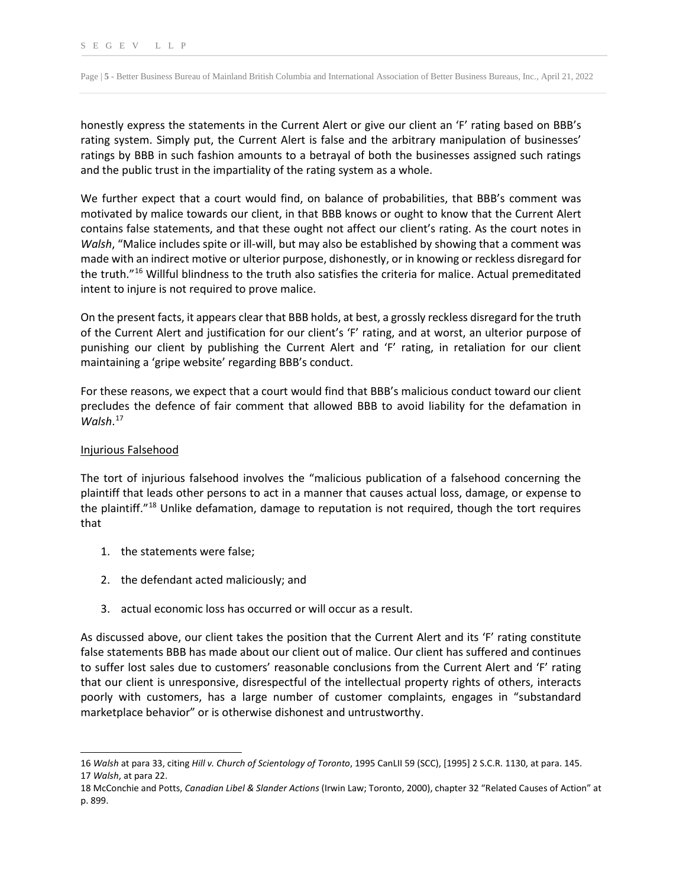Page | **5** - Better Business Bureau of Mainland British Columbia and International Association of Better Business Bureaus, Inc., April 21, 2022

honestly express the statements in the Current Alert or give our client an 'F' rating based on BBB's rating system. Simply put, the Current Alert is false and the arbitrary manipulation of businesses' ratings by BBB in such fashion amounts to a betrayal of both the businesses assigned such ratings and the public trust in the impartiality of the rating system as a whole.

We further expect that a court would find, on balance of probabilities, that BBB's comment was motivated by malice towards our client, in that BBB knows or ought to know that the Current Alert contains false statements, and that these ought not affect our client's rating. As the court notes in *Walsh*, "Malice includes spite or ill-will, but may also be established by showing that a comment was made with an indirect motive or ulterior purpose, dishonestly, or in knowing or reckless disregard for the truth.["16](#page-4-0) Willful blindness to the truth also satisfies the criteria for malice. Actual premeditated intent to injure is not required to prove malice.

On the present facts, it appears clear that BBB holds, at best, a grossly reckless disregard for the truth of the Current Alert and justification for our client's 'F' rating, and at worst, an ulterior purpose of punishing our client by publishing the Current Alert and 'F' rating, in retaliation for our client maintaining a 'gripe website' regarding BBB's conduct.

For these reasons, we expect that a court would find that BBB's malicious conduct toward our client precludes the defence of fair comment that allowed BBB to avoid liability for the defamation in *Walsh*. [17](#page-4-1)

## Injurious Falsehood

The tort of injurious falsehood involves the "malicious publication of a falsehood concerning the plaintiff that leads other persons to act in a manner that causes actual loss, damage, or expense to the plaintiff."<sup>[18](#page-4-2)</sup> Unlike defamation, damage to reputation is not required, though the tort requires that

- 1. the statements were false;
- 2. the defendant acted maliciously; and
- 3. actual economic loss has occurred or will occur as a result.

As discussed above, our client takes the position that the Current Alert and its 'F' rating constitute false statements BBB has made about our client out of malice. Our client has suffered and continues to suffer lost sales due to customers' reasonable conclusions from the Current Alert and 'F' rating that our client is unresponsive, disrespectful of the intellectual property rights of others, interacts poorly with customers, has a large number of customer complaints, engages in "substandard marketplace behavior" or is otherwise dishonest and untrustworthy.

<span id="page-4-1"></span><span id="page-4-0"></span><sup>16</sup> *Walsh* at para 33, citing *Hill v. Church of Scientology of Toronto*, 1995 CanLII 59 (SCC), [1995] 2 S.C.R. 1130, at para. 145. 17 *Walsh*, at para 22.

<span id="page-4-2"></span><sup>18</sup> McConchie and Potts, *Canadian Libel & Slander Actions* (Irwin Law; Toronto, 2000), chapter 32 "Related Causes of Action" at p. 899.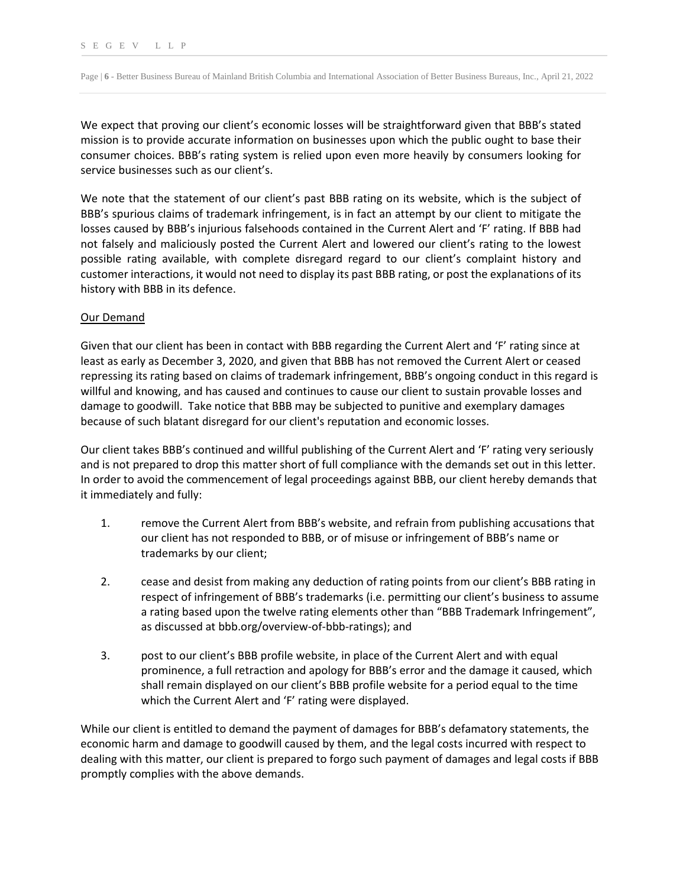Page | **6** - Better Business Bureau of Mainland British Columbia and International Association of Better Business Bureaus, Inc., April 21, 2022

We expect that proving our client's economic losses will be straightforward given that BBB's stated mission is to provide accurate information on businesses upon which the public ought to base their consumer choices. BBB's rating system is relied upon even more heavily by consumers looking for service businesses such as our client's.

We note that the statement of our client's past BBB rating on its website, which is the subject of BBB's spurious claims of trademark infringement, is in fact an attempt by our client to mitigate the losses caused by BBB's injurious falsehoods contained in the Current Alert and 'F' rating. If BBB had not falsely and maliciously posted the Current Alert and lowered our client's rating to the lowest possible rating available, with complete disregard regard to our client's complaint history and customer interactions, it would not need to display its past BBB rating, or post the explanations of its history with BBB in its defence.

### Our Demand

Given that our client has been in contact with BBB regarding the Current Alert and 'F' rating since at least as early as December 3, 2020, and given that BBB has not removed the Current Alert or ceased repressing its rating based on claims of trademark infringement, BBB's ongoing conduct in this regard is willful and knowing, and has caused and continues to cause our client to sustain provable losses and damage to goodwill. Take notice that BBB may be subjected to punitive and exemplary damages because of such blatant disregard for our client's reputation and economic losses.

Our client takes BBB's continued and willful publishing of the Current Alert and 'F' rating very seriously and is not prepared to drop this matter short of full compliance with the demands set out in this letter. In order to avoid the commencement of legal proceedings against BBB, our client hereby demands that it immediately and fully:

- 1. remove the Current Alert from BBB's website, and refrain from publishing accusations that our client has not responded to BBB, or of misuse or infringement of BBB's name or trademarks by our client;
- 2. cease and desist from making any deduction of rating points from our client's BBB rating in respect of infringement of BBB's trademarks (i.e. permitting our client's business to assume a rating based upon the twelve rating elements other than "BBB Trademark Infringement", as discussed at bbb.org/overview-of-bbb-ratings); and
- 3. post to our client's BBB profile website, in place of the Current Alert and with equal prominence, a full retraction and apology for BBB's error and the damage it caused, which shall remain displayed on our client's BBB profile website for a period equal to the time which the Current Alert and 'F' rating were displayed.

While our client is entitled to demand the payment of damages for BBB's defamatory statements, the economic harm and damage to goodwill caused by them, and the legal costs incurred with respect to dealing with this matter, our client is prepared to forgo such payment of damages and legal costs if BBB promptly complies with the above demands.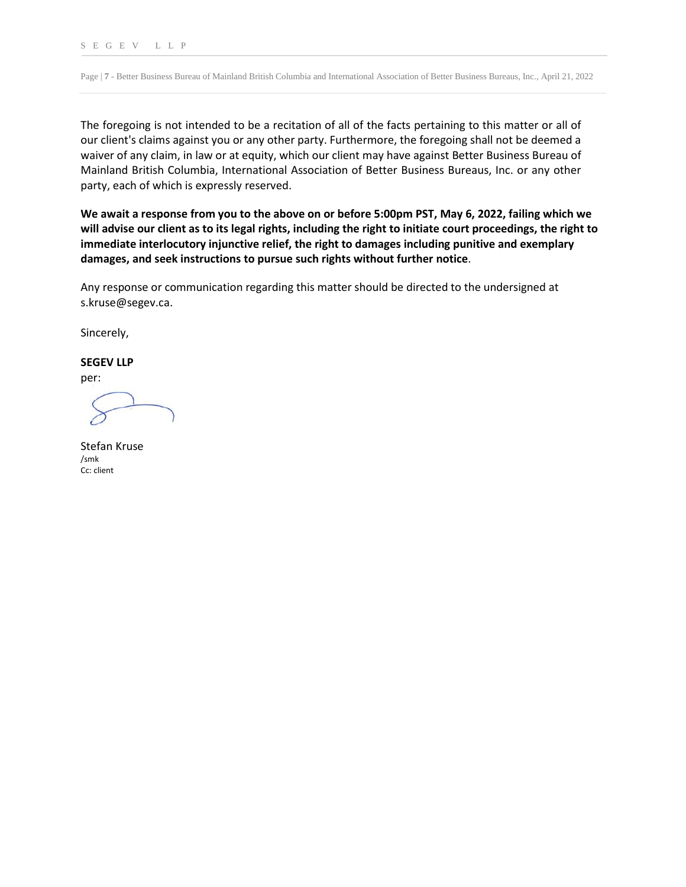Page | **7** - Better Business Bureau of Mainland British Columbia and International Association of Better Business Bureaus, Inc., April 21, 2022

The foregoing is not intended to be a recitation of all of the facts pertaining to this matter or all of our client's claims against you or any other party. Furthermore, the foregoing shall not be deemed a waiver of any claim, in law or at equity, which our client may have against Better Business Bureau of Mainland British Columbia, International Association of Better Business Bureaus, Inc. or any other party, each of which is expressly reserved.

**We await a response from you to the above on or before 5:00pm PST, May 6, 2022, failing which we will advise our client as to its legal rights, including the right to initiate court proceedings, the right to immediate interlocutory injunctive relief, the right to damages including punitive and exemplary damages, and seek instructions to pursue such rights without further notice**.

Any response or communication regarding this matter should be directed to the undersigned at s.kruse@segev.ca.

Sincerely,

### **SEGEV LLP**

per:

Stefan Kruse /smk Cc: client